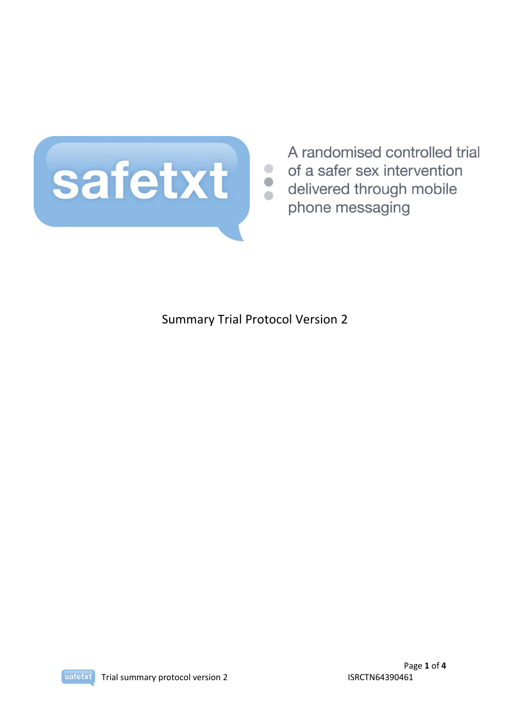

A randomised controlled trial of a safer sex intervention

Summary Trial Protocol Version 2

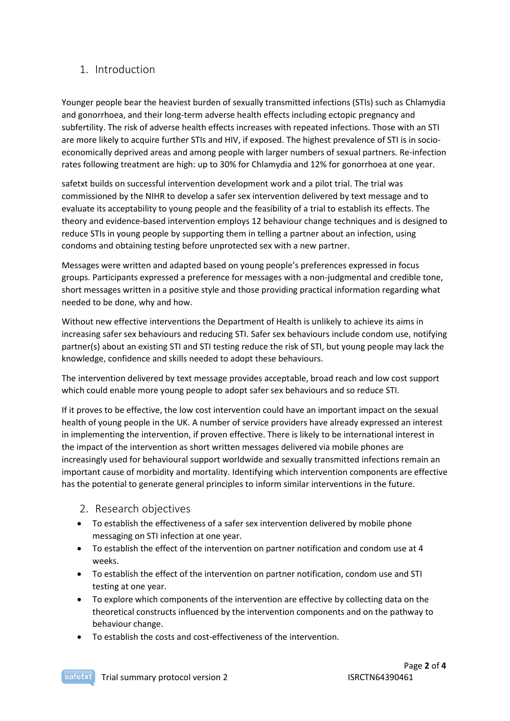## 1. Introduction

Younger people bear the heaviest burden of sexually transmitted infections (STIs) such as Chlamydia and gonorrhoea, and their long-term adverse health effects including ectopic pregnancy and subfertility. The risk of adverse health effects increases with repeated infections. Those with an STI are more likely to acquire further STIs and HIV, if exposed. The highest prevalence of STI is in socioeconomically deprived areas and among people with larger numbers of sexual partners. Re-infection rates following treatment are high: up to 30% for Chlamydia and 12% for gonorrhoea at one year.

safetxt builds on successful intervention development work and a pilot trial. The trial was commissioned by the NIHR to develop a safer sex intervention delivered by text message and to evaluate its acceptability to young people and the feasibility of a trial to establish its effects. The theory and evidence-based intervention employs 12 behaviour change techniques and is designed to reduce STIs in young people by supporting them in telling a partner about an infection, using condoms and obtaining testing before unprotected sex with a new partner.

Messages were written and adapted based on young people's preferences expressed in focus groups. Participants expressed a preference for messages with a non-judgmental and credible tone, short messages written in a positive style and those providing practical information regarding what needed to be done, why and how.

Without new effective interventions the Department of Health is unlikely to achieve its aims in increasing safer sex behaviours and reducing STI. Safer sex behaviours include condom use, notifying partner(s) about an existing STI and STI testing reduce the risk of STI, but young people may lack the knowledge, confidence and skills needed to adopt these behaviours.

The intervention delivered by text message provides acceptable, broad reach and low cost support which could enable more young people to adopt safer sex behaviours and so reduce STI.

If it proves to be effective, the low cost intervention could have an important impact on the sexual health of young people in the UK. A number of service providers have already expressed an interest in implementing the intervention, if proven effective. There is likely to be international interest in the impact of the intervention as short written messages delivered via mobile phones are increasingly used for behavioural support worldwide and sexually transmitted infections remain an important cause of morbidity and mortality. Identifying which intervention components are effective has the potential to generate general principles to inform similar interventions in the future.

- 2. Research objectives
- To establish the effectiveness of a safer sex intervention delivered by mobile phone messaging on STI infection at one year.
- To establish the effect of the intervention on partner notification and condom use at 4 weeks.
- To establish the effect of the intervention on partner notification, condom use and STI testing at one year.
- To explore which components of the intervention are effective by collecting data on the theoretical constructs influenced by the intervention components and on the pathway to behaviour change.
- To establish the costs and cost-effectiveness of the intervention.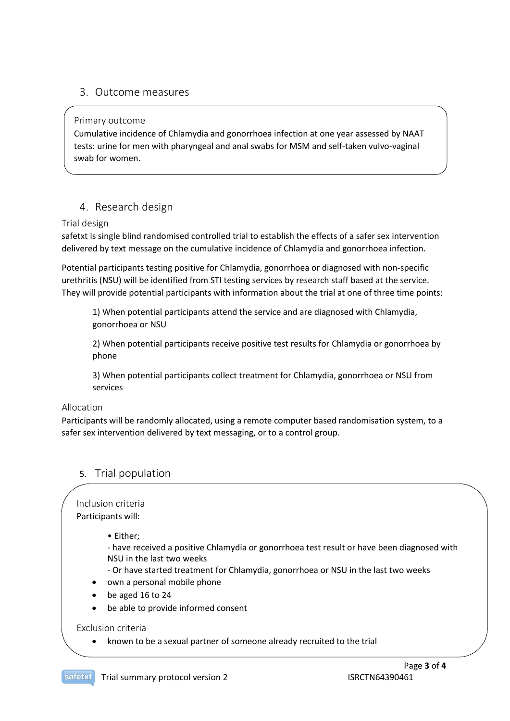#### 3. Outcome measures

#### Primary outcome

Cumulative incidence of Chlamydia and gonorrhoea infection at one year assessed by NAAT tests: urine for men with pharyngeal and anal swabs for MSM and self-taken vulvo-vaginal swab for women.

## 4. Research design

#### Trial design

safetxt is single blind randomised controlled trial to establish the effects of a safer sex intervention delivered by text message on the cumulative incidence of Chlamydia and gonorrhoea infection.

Potential participants testing positive for Chlamydia, gonorrhoea or diagnosed with non-specific urethritis (NSU) will be identified from STI testing services by research staff based at the service. They will provide potential participants with information about the trial at one of three time points:

1) When potential participants attend the service and are diagnosed with Chlamydia, gonorrhoea or NSU

2) When potential participants receive positive test results for Chlamydia or gonorrhoea by phone

3) When potential participants collect treatment for Chlamydia, gonorrhoea or NSU from services

#### Allocation

Participants will be randomly allocated, using a remote computer based randomisation system, to a safer sex intervention delivered by text messaging, or to a control group.

## 5. Trial population

## Inclusion criteria

Participants will:

• Either;

- have received a positive Chlamydia or gonorrhoea test result or have been diagnosed with NSU in the last two weeks

- Or have started treatment for Chlamydia, gonorrhoea or NSU in the last two weeks

- own a personal mobile phone
- be aged 16 to 24
- be able to provide informed consent

#### Exclusion criteria

known to be a sexual partner of someone already recruited to the trial